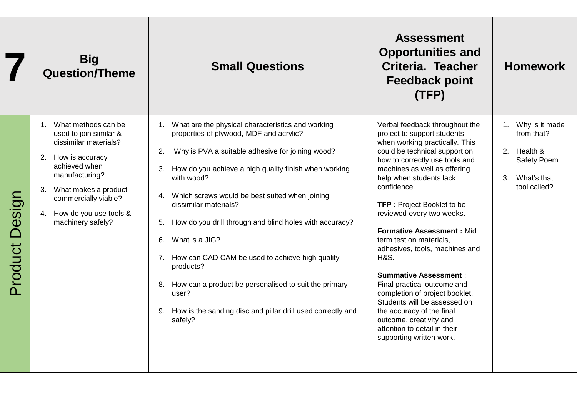|                   | <b>Big</b><br><b>Question/Theme</b>                                                                                                                                                                                                           | <b>Small Questions</b>                                                                                                                                                                                                                                                                                                                                                                                                                                                                                                                                                                                                                      | <b>Assessment</b><br><b>Opportunities and</b><br>Criteria. Teacher<br><b>Feedback point</b><br>(TFP)                                                                                                                                                                                                                                                                                                                                                                                                                                                                                                                                                                                     | <b>Homework</b>                                                                                                |
|-------------------|-----------------------------------------------------------------------------------------------------------------------------------------------------------------------------------------------------------------------------------------------|---------------------------------------------------------------------------------------------------------------------------------------------------------------------------------------------------------------------------------------------------------------------------------------------------------------------------------------------------------------------------------------------------------------------------------------------------------------------------------------------------------------------------------------------------------------------------------------------------------------------------------------------|------------------------------------------------------------------------------------------------------------------------------------------------------------------------------------------------------------------------------------------------------------------------------------------------------------------------------------------------------------------------------------------------------------------------------------------------------------------------------------------------------------------------------------------------------------------------------------------------------------------------------------------------------------------------------------------|----------------------------------------------------------------------------------------------------------------|
| Design<br>Product | 1. What methods can be<br>used to join similar &<br>dissimilar materials?<br>2. How is accuracy<br>achieved when<br>manufacturing?<br>What makes a product<br>3.<br>commercially viable?<br>How do you use tools &<br>4.<br>machinery safely? | 1. What are the physical characteristics and working<br>properties of plywood, MDF and acrylic?<br>2.<br>Why is PVA a suitable adhesive for joining wood?<br>How do you achieve a high quality finish when working<br>3.<br>with wood?<br>Which screws would be best suited when joining<br>4.<br>dissimilar materials?<br>How do you drill through and blind holes with accuracy?<br>5.<br>What is a JIG?<br>6.<br>7. How can CAD CAM be used to achieve high quality<br>products?<br>How can a product be personalised to suit the primary<br>8.<br>user?<br>How is the sanding disc and pillar drill used correctly and<br>9.<br>safely? | Verbal feedback throughout the<br>project to support students<br>when working practically. This<br>could be technical support on<br>how to correctly use tools and<br>machines as well as offering<br>help when students lack<br>confidence.<br><b>TFP: Project Booklet to be</b><br>reviewed every two weeks.<br><b>Formative Assessment: Mid.</b><br>term test on materials,<br>adhesives, tools, machines and<br><b>H&amp;S.</b><br><b>Summative Assessment:</b><br>Final practical outcome and<br>completion of project booklet.<br>Students will be assessed on<br>the accuracy of the final<br>outcome, creativity and<br>attention to detail in their<br>supporting written work. | 1. Why is it made<br>from that?<br>2. Health &<br>Safety Poem<br>What's that<br>3 <sub>1</sub><br>tool called? |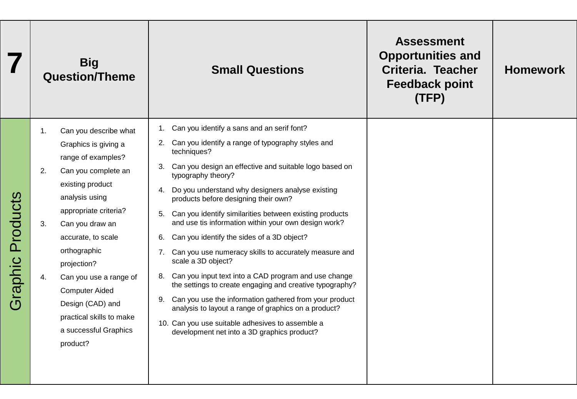|                     |                      | <b>Big</b><br><b>Question/Theme</b>                                                                                                                                                                                                                                                                                                                                       | <b>Small Questions</b>                                                                                                                                                                                                                                                                                                                                                                                                                                                                                                                                                                                                                                                                                                                                                                                                                                                                                               | <b>Assessment</b><br><b>Opportunities and</b><br>Criteria. Teacher<br><b>Feedback point</b><br>(TFP) | <b>Homework</b> |
|---------------------|----------------------|---------------------------------------------------------------------------------------------------------------------------------------------------------------------------------------------------------------------------------------------------------------------------------------------------------------------------------------------------------------------------|----------------------------------------------------------------------------------------------------------------------------------------------------------------------------------------------------------------------------------------------------------------------------------------------------------------------------------------------------------------------------------------------------------------------------------------------------------------------------------------------------------------------------------------------------------------------------------------------------------------------------------------------------------------------------------------------------------------------------------------------------------------------------------------------------------------------------------------------------------------------------------------------------------------------|------------------------------------------------------------------------------------------------------|-----------------|
| Products<br>Graphic | 1.<br>2.<br>3.<br>4. | Can you describe what<br>Graphics is giving a<br>range of examples?<br>Can you complete an<br>existing product<br>analysis using<br>appropriate criteria?<br>Can you draw an<br>accurate, to scale<br>orthographic<br>projection?<br>Can you use a range of<br><b>Computer Aided</b><br>Design (CAD) and<br>practical skills to make<br>a successful Graphics<br>product? | 1. Can you identify a sans and an serif font?<br>2. Can you identify a range of typography styles and<br>techniques?<br>3. Can you design an effective and suitable logo based on<br>typography theory?<br>4. Do you understand why designers analyse existing<br>products before designing their own?<br>Can you identify similarities between existing products<br>5.<br>and use tis information within your own design work?<br>Can you identify the sides of a 3D object?<br>6.<br>7. Can you use numeracy skills to accurately measure and<br>scale a 3D object?<br>8. Can you input text into a CAD program and use change<br>the settings to create engaging and creative typography?<br>9. Can you use the information gathered from your product<br>analysis to layout a range of graphics on a product?<br>10. Can you use suitable adhesives to assemble a<br>development net into a 3D graphics product? |                                                                                                      |                 |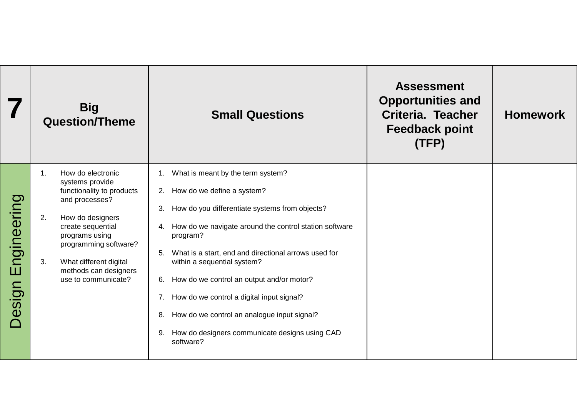|                       | <b>Big</b><br><b>Question/Theme</b>                                                                                                                                                                                                                                            | <b>Small Questions</b>                                                                                                                                                                                                                                                                                                                                                                                                                                                                                                                 | <b>Assessment</b><br><b>Opportunities and</b><br>Criteria. Teacher<br><b>Feedback point</b><br>(TFP) | <b>Homework</b> |
|-----------------------|--------------------------------------------------------------------------------------------------------------------------------------------------------------------------------------------------------------------------------------------------------------------------------|----------------------------------------------------------------------------------------------------------------------------------------------------------------------------------------------------------------------------------------------------------------------------------------------------------------------------------------------------------------------------------------------------------------------------------------------------------------------------------------------------------------------------------------|------------------------------------------------------------------------------------------------------|-----------------|
| Engineering<br>Design | $\mathbf 1$ .<br>How do electronic<br>systems provide<br>functionality to products<br>and processes?<br>2.<br>How do designers<br>create sequential<br>programs using<br>programming software?<br>What different digital<br>3.<br>methods can designers<br>use to communicate? | What is meant by the term system?<br>How do we define a system?<br>2.<br>How do you differentiate systems from objects?<br>3.<br>How do we navigate around the control station software<br>4.<br>program?<br>What is a start, end and directional arrows used for<br>5.<br>within a sequential system?<br>How do we control an output and/or motor?<br>6.<br>How do we control a digital input signal?<br>7.<br>How do we control an analogue input signal?<br>8.<br>How do designers communicate designs using CAD<br>9.<br>software? |                                                                                                      |                 |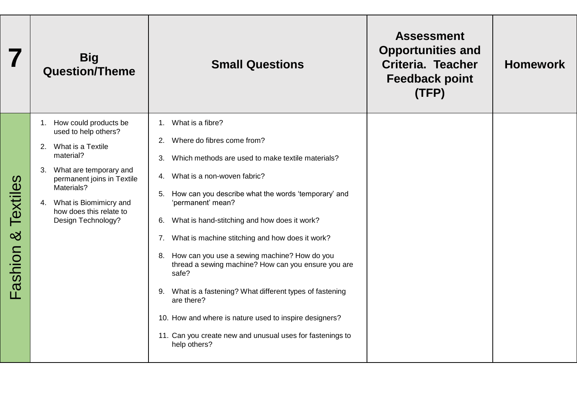|                          | <b>Big</b><br><b>Question/Theme</b>                                                                                                                                                                                                             | <b>Small Questions</b>                                                                                                                                                                                                                                                                                                                                                                                                                                                                                                                                                                                                                                                                              | <b>Assessment</b><br><b>Opportunities and</b><br>Criteria. Teacher<br><b>Feedback point</b><br>(TFP) | <b>Homework</b> |
|--------------------------|-------------------------------------------------------------------------------------------------------------------------------------------------------------------------------------------------------------------------------------------------|-----------------------------------------------------------------------------------------------------------------------------------------------------------------------------------------------------------------------------------------------------------------------------------------------------------------------------------------------------------------------------------------------------------------------------------------------------------------------------------------------------------------------------------------------------------------------------------------------------------------------------------------------------------------------------------------------------|------------------------------------------------------------------------------------------------------|-----------------|
| Textiles<br>≪<br>Fashion | 1. How could products be<br>used to help others?<br>2. What is a Textile<br>material?<br>What are temporary and<br>3.<br>permanent joins in Textile<br>Materials?<br>4. What is Biomimicry and<br>how does this relate to<br>Design Technology? | What is a fibre?<br>1.<br>Where do fibres come from?<br>2.<br>Which methods are used to make textile materials?<br>3.<br>4. What is a non-woven fabric?<br>How can you describe what the words 'temporary' and<br>5.<br>'permanent' mean?<br>What is hand-stitching and how does it work?<br>6.<br>What is machine stitching and how does it work?<br>7.<br>How can you use a sewing machine? How do you<br>8.<br>thread a sewing machine? How can you ensure you are<br>safe?<br>What is a fastening? What different types of fastening<br>9.<br>are there?<br>10. How and where is nature used to inspire designers?<br>11. Can you create new and unusual uses for fastenings to<br>help others? |                                                                                                      |                 |